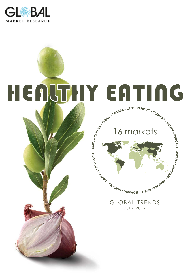

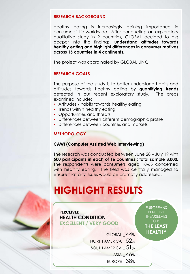#### **RESEARCH BACKGROUND**

Healthy eating is increasingly gaining importance in consumers' life worldwide. After conducting an exploratory qualitative study in 9 countries, GLOBAL decided to dig deeper into the findings, **understand attitudes towards healthy eating and highlight differences in consumer motives across 16 countries in 4 continents.**

The project was coordinated by GLOBAL LINK.

#### **RESEARCH GOALS**

The purpose of the study is to better understand habits and attitudes towards healthy eating by **quantifying trends** detected in our recent exploratory study. The areas examined include:

- Attitudes / habits towards healthy eating
- Trends within healthy eating
- Opportunities and threats
- Differences between different demographic profile
- Differences between countries and markets

### **METHODOLOGY**

#### **CAWI (Computer Assisted Web Interviewing)**

The research was conducted between June 28 – July 19 with **500 participants in each of 16 countries : total sample 8,000.** The respondents were consumers aged 18-65 concerned with healthy eating. The field was centrally managed to ensure that any issues would be promptly addressed.

# **HIGHLIGHT RESULTS**



**PERCEIVED HEALTH CONDITION EXCELLENT / VERY GOOD**

> $GLOBAL$   $44%$ NORTH AMERICA 52% SOUTH AMERICA 51% ASIA  $46%$ EUROPE \_ 38%

**EUROPEANS PERCEIVE** THEMSELVES TO BE **THE LEAST HEALTHY**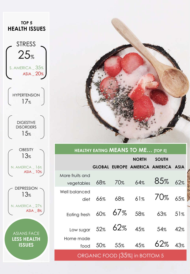



## **HEALTHY EATING MEANS TO ME… [TOP 5]**

|                                |            |     | <b>NORTH</b> | <b>SOUTH</b>                       |     |
|--------------------------------|------------|-----|--------------|------------------------------------|-----|
|                                |            |     |              | GLOBAL EUROPE AMERICA AMERICA ASIA |     |
| More fruits and<br>vegetables  | 68%        | 70% | 64%          | 85%                                | 62% |
| Well balanced<br>diet          | 66%        | 68% | 61%          | 70%                                | 65% |
| Eating fresh 60% $67\%$ 58%    |            |     |              | 63%                                | 51% |
| Low sugar                      | $52\%$ 62% |     | 45%          | 54%                                | 42% |
| Home made<br>food              | 50%        | 55% | 45%          | 62%                                | 43% |
| ORGANIC FOOD [35%] in BOTTOM 5 |            |     |              |                                    |     |